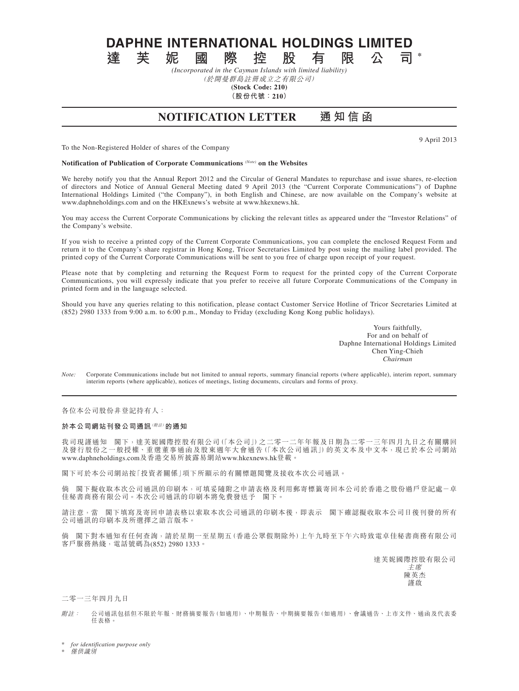**DAPHNE INTERNATIONAL HOLDINGS LIMITED**<br>達 芙 妮 國 際 控 股 有 限 公 司

**達芙妮國際控股有限公司 \*** *(Incorporated in the Cayman Islands with limited liability)*

(於開曼群島註冊成立之有限公司)

**(Stock Code: 210) (股份代號:210)**

**NOTIFICATION LETTER 通 知 信 函**

9 April 2013

To the Non-Registered Holder of shares of the Company

**Notification of Publication of Corporate Communications** *(Note)* **on the Websites**

We hereby notify you that the Annual Report 2012 and the Circular of General Mandates to repurchase and issue shares, re-election of directors and Notice of Annual General Meeting dated 9 April 2013 (the "Current Corporate Communications") of Daphne International Holdings Limited ("the Company"), in both English and Chinese, are now available on the Company's website at www.daphneholdings.com and on the HKExnews's website at www.hkexnews.hk.

You may access the Current Corporate Communications by clicking the relevant titles as appeared under the "Investor Relations" of the Company's website.

If you wish to receive a printed copy of the Current Corporate Communications, you can complete the enclosed Request Form and return it to the Company's share registrar in Hong Kong, Tricor Secretaries Limited by post using the mailing label provided. The printed copy of the Current Corporate Communications will be sent to you free of charge upon receipt of your request.

Please note that by completing and returning the Request Form to request for the printed copy of the Current Corporate Communications, you will expressly indicate that you prefer to receive all future Corporate Communications of the Company in printed form and in the language selected.

Should you have any queries relating to this notification, please contact Customer Service Hotline of Tricor Secretaries Limited at (852) 2980 1333 from 9:00 a.m. to 6:00 p.m., Monday to Friday (excluding Kong Kong public holidays).

> Yours faithfully, For and on behalf of Daphne International Holdings Limited Chen Ying-Chieh *Chairman*

*Note:* Corporate Communications include but not limited to annual reports, summary financial reports (where applicable), interim report, summary interim reports (where applicable), notices of meetings, listing documents, circulars and forms of proxy.

各位本公司股份非登記持有人:

## **於本公司網站刊發公司通訊**(附註)**的通知**

我司現謹通知 閣下,達芙妮國際控股有限公司(「本公司」)之二零一二年年報及日期為二零一三年四月九日之有關購回 及發行股份之一般授權、重選董事通函及股東週年大會通告(「本次公司通訊」)的英文本及中文本,現已於本公司網站 www.daphneholdings.com及香港交易所披露易網站www.hkexnews.hk登載。

閣下可於本公司網站按「投資者關係」項下所顯示的有關標題閱覽及接收本次公司通訊。

倘 閣下擬收取本次公司通訊的印刷本,可填妥隨附之申請表格及利用郵寄標籤寄回本公司於香港之股份過戶登記處-卓 佳秘書商務有限公司。本次公司通訊的印刷本將免費發送予 閣下。

請注意,當 閣下填寫及寄回申請表格以索取本次公司通訊的印刷本後,即表示 閣下確認擬收取本公司日後刊發的所有 公司通訊的印刷本及所選擇之語言版本。

倘 閣下對本通知有任何查詢,請於星期一至星期五(香港公眾假期除外)上午九時至下午六時致電卓佳秘書商務有限公司 客戶服務熱綫,電話號碼為(852) 2980 1333。

達芙妮國際控股有限公司

主席 陳英杰 謹啟

二零一三年四月九日

附註: 公司通訊包括但不限於年報、財務摘要報告(如適用)、中期報告、中期摘要報告(如適用)、會議通告、上市文件、通函及代表委 任表格。

 $for$  *identification purpose only* 

**僅供識別**